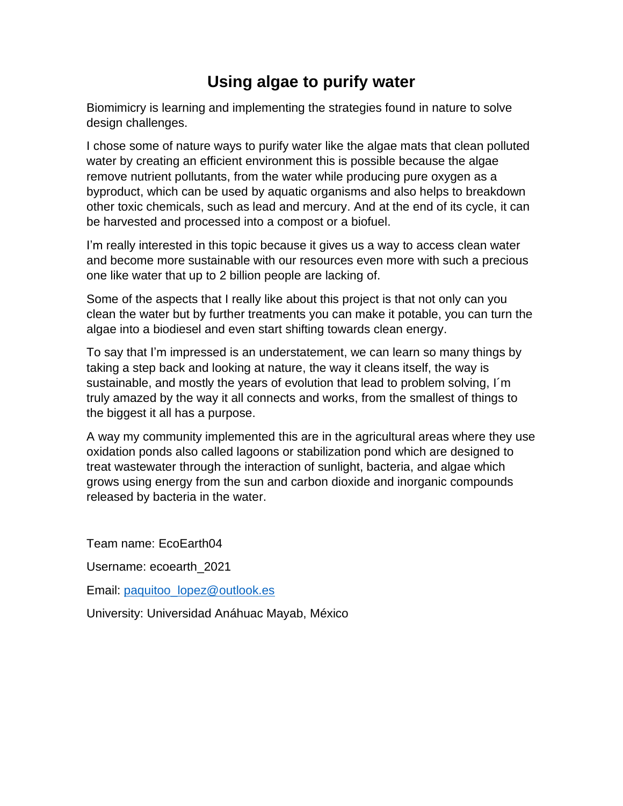## **Using algae to purify water**

Biomimicry is learning and implementing the strategies found in nature to solve design challenges.

I chose some of nature ways to purify water like the algae mats that clean polluted water by creating an efficient environment this is possible because the algae remove nutrient pollutants, from the water while producing pure oxygen as a byproduct, which can be used by aquatic organisms and also helps to breakdown other toxic chemicals, such as lead and mercury. And at the end of its cycle, it can be harvested and processed into a compost or a biofuel.

I'm really interested in this topic because it gives us a way to access clean water and become more sustainable with our resources even more with such a precious one like water that up to 2 billion people are lacking of.

Some of the aspects that I really like about this project is that not only can you clean the water but by further treatments you can make it potable, you can turn the algae into a biodiesel and even start shifting towards clean energy.

To say that I'm impressed is an understatement, we can learn so many things by taking a step back and looking at nature, the way it cleans itself, the way is sustainable, and mostly the years of evolution that lead to problem solving, I´m truly amazed by the way it all connects and works, from the smallest of things to the biggest it all has a purpose.

A way my community implemented this are in the agricultural areas where they use oxidation ponds also called lagoons or stabilization pond which are designed to treat wastewater through the interaction of sunlight, bacteria, and algae which grows using energy from the sun and carbon dioxide and inorganic compounds released by bacteria in the water.

Team name: EcoEarth04

Username: ecoearth\_2021

Email: [paquitoo\\_lopez@outlook.es](mailto:paquitoo_lopez@outlook.es)

University: Universidad Anáhuac Mayab, México